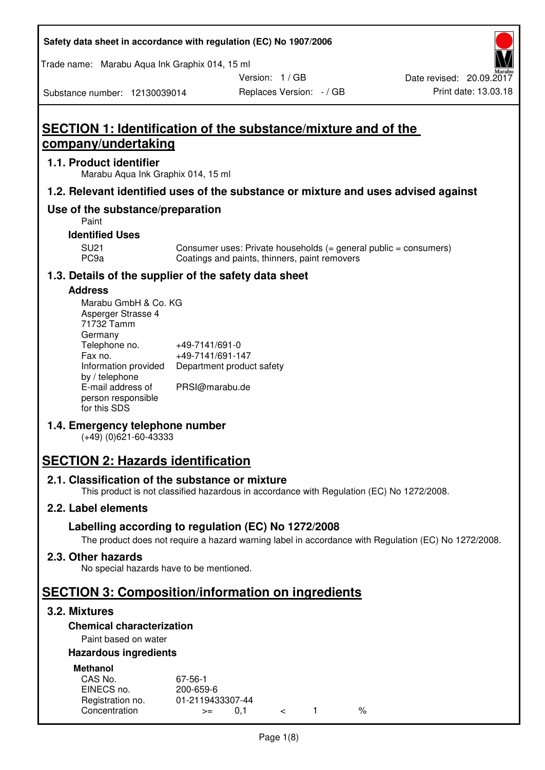Trade name: Marabu Aqua Ink Graphix 014, 15 ml

Version: 1 / GB

Replaces Version: - / GB Print date: 13.03.18 Date revised: 20.09.2017

Substance number: 12130039014

## **SECTION 1: Identification of the substance/mixture and of the company/undertaking**

#### **1.1. Product identifier**

Marabu Aqua Ink Graphix 014, 15 ml

#### **1.2. Relevant identified uses of the substance or mixture and uses advised against**

#### **Use of the substance/preparation**

Paint

#### **Identified Uses**

SU21 Consumer uses: Private households (= general public = consumers)<br>PC9a Coatings and paints, thinners, paint removers Coatings and paints, thinners, paint removers

#### **1.3. Details of the supplier of the safety data sheet**

#### **Address**

| Marabu GmbH & Co. KG |                           |
|----------------------|---------------------------|
| Asperger Strasse 4   |                           |
| 71732 Tamm           |                           |
| Germany              |                           |
| Telephone no.        | +49-7141/691-0            |
| Fax no.              | +49-7141/691-147          |
| Information provided | Department product safety |
| by / telephone       |                           |
| E-mail address of    | PRSI@marabu.de            |
| person responsible   |                           |
| for this SDS         |                           |

#### **1.4. Emergency telephone number**

(+49) (0)621-60-43333

## **SECTION 2: Hazards identification**

#### **2.1. Classification of the substance or mixture**

This product is not classified hazardous in accordance with Regulation (EC) No 1272/2008.

#### **2.2. Label elements**

#### **Labelling according to regulation (EC) No 1272/2008**

The product does not require a hazard warning label in accordance with Regulation (EC) No 1272/2008.

#### **2.3. Other hazards**

No special hazards have to be mentioned.

## **SECTION 3: Composition/information on ingredients**

#### **3.2. Mixtures**

#### **Chemical characterization**

#### Paint based on water

#### **Hazardous ingredients**

| <b>Methanol</b>  |                  |  |   |
|------------------|------------------|--|---|
| CAS No.          | 67-56-1          |  |   |
| EINECS no.       | 200-659-6        |  |   |
| Registration no. | 01-2119433307-44 |  |   |
| Concentration    | $>=$             |  | % |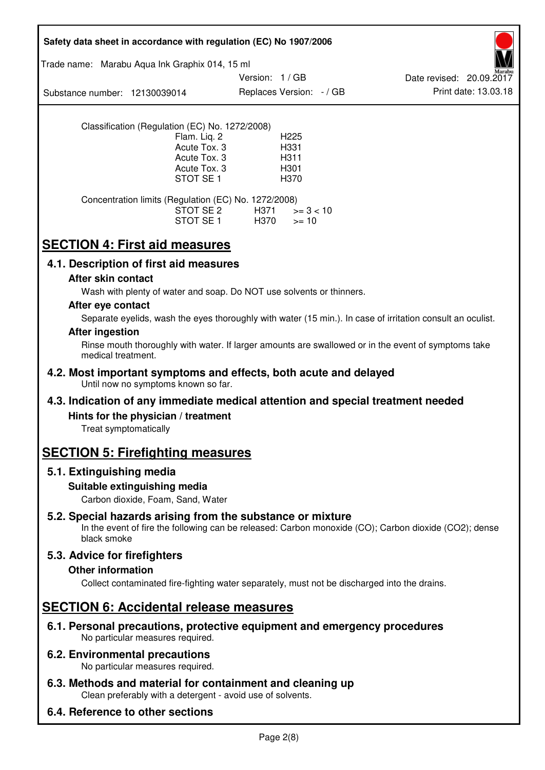|                               |                                                                           | Safety data sheet in accordance with regulation (EC) No 1907/2006                            |                                                                                                            |
|-------------------------------|---------------------------------------------------------------------------|----------------------------------------------------------------------------------------------|------------------------------------------------------------------------------------------------------------|
|                               | Trade name: Marabu Aqua Ink Graphix 014, 15 ml                            |                                                                                              |                                                                                                            |
|                               |                                                                           | Version: 1 / GB                                                                              | Date revised: 20.09.2017                                                                                   |
| Substance number: 12130039014 |                                                                           | Replaces Version: - / GB                                                                     | Print date: 13.03.18                                                                                       |
|                               | Classification (Regulation (EC) No. 1272/2008)                            |                                                                                              |                                                                                                            |
|                               | Flam. Liq. 2                                                              | H <sub>225</sub>                                                                             |                                                                                                            |
|                               | Acute Tox. 3<br>Acute Tox. 3                                              | H331<br>H311                                                                                 |                                                                                                            |
|                               | Acute Tox. 3                                                              | H301                                                                                         |                                                                                                            |
|                               | STOT SE <sub>1</sub>                                                      | H370                                                                                         |                                                                                                            |
|                               | Concentration limits (Regulation (EC) No. 1272/2008)                      |                                                                                              |                                                                                                            |
|                               | STOT SE 2<br>STOT SE 1                                                    | H371<br>$>= 3 < 10$<br>H370<br>$>= 10$                                                       |                                                                                                            |
|                               | <b>SECTION 4: First aid measures</b>                                      |                                                                                              |                                                                                                            |
|                               | 4.1. Description of first aid measures                                    |                                                                                              |                                                                                                            |
| After skin contact            |                                                                           |                                                                                              |                                                                                                            |
|                               |                                                                           | Wash with plenty of water and soap. Do NOT use solvents or thinners.                         |                                                                                                            |
| After eye contact             |                                                                           |                                                                                              |                                                                                                            |
|                               |                                                                           |                                                                                              | Separate eyelids, wash the eyes thoroughly with water (15 min.). In case of irritation consult an oculist. |
| <b>After ingestion</b>        |                                                                           |                                                                                              |                                                                                                            |
| medical treatment.            |                                                                           |                                                                                              | Rinse mouth thoroughly with water. If larger amounts are swallowed or in the event of symptoms take        |
|                               | Until now no symptoms known so far.                                       | 4.2. Most important symptoms and effects, both acute and delayed                             |                                                                                                            |
|                               |                                                                           | 4.3. Indication of any immediate medical attention and special treatment needed              |                                                                                                            |
|                               | Hints for the physician / treatment                                       |                                                                                              |                                                                                                            |
| Treat symptomatically         |                                                                           |                                                                                              |                                                                                                            |
|                               | <b>SECTION 5: Firefighting measures</b>                                   |                                                                                              |                                                                                                            |
| 5.1. Extinguishing media      |                                                                           |                                                                                              |                                                                                                            |
|                               | Suitable extinguishing media<br>Carbon dioxide, Foam, Sand, Water         |                                                                                              |                                                                                                            |
| black smoke                   |                                                                           | 5.2. Special hazards arising from the substance or mixture                                   | In the event of fire the following can be released: Carbon monoxide (CO); Carbon dioxide (CO2); dense      |
| 5.3. Advice for firefighters  |                                                                           |                                                                                              |                                                                                                            |
| <b>Other information</b>      |                                                                           |                                                                                              |                                                                                                            |
|                               |                                                                           | Collect contaminated fire-fighting water separately, must not be discharged into the drains. |                                                                                                            |
|                               | <b>SECTION 6: Accidental release measures</b>                             |                                                                                              |                                                                                                            |
|                               | No particular measures required.                                          | 6.1. Personal precautions, protective equipment and emergency procedures                     |                                                                                                            |
|                               | <b>6.2. Environmental precautions</b><br>No particular measures required. |                                                                                              |                                                                                                            |
|                               | Clean preferably with a detergent - avoid use of solvents.                | 6.3. Methods and material for containment and cleaning up                                    |                                                                                                            |
|                               | 6.4. Reference to other sections                                          |                                                                                              |                                                                                                            |

٦

 $\mathsf{r}$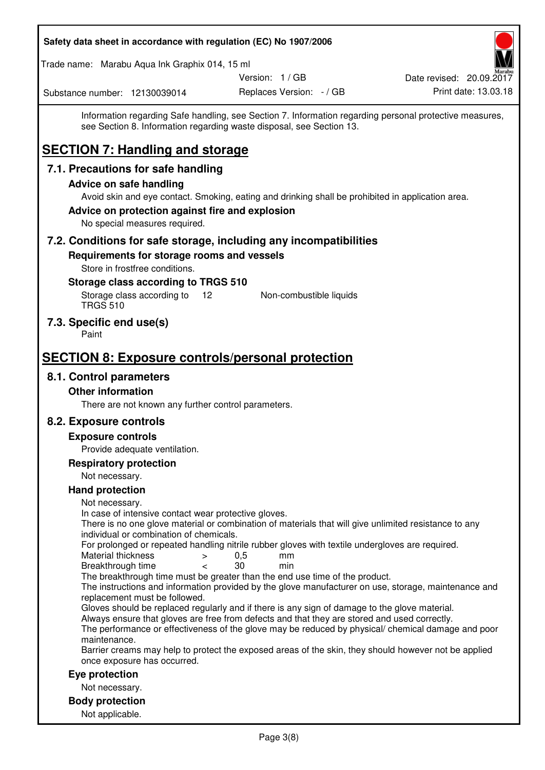| Safety data sheet in accordance with regulation (EC) No 1907/2006                                                                                                                                                                                                                                                   |                          |                          |
|---------------------------------------------------------------------------------------------------------------------------------------------------------------------------------------------------------------------------------------------------------------------------------------------------------------------|--------------------------|--------------------------|
| Trade name: Marabu Aqua Ink Graphix 014, 15 ml                                                                                                                                                                                                                                                                      |                          |                          |
|                                                                                                                                                                                                                                                                                                                     | Version: 1 / GB          | Date revised: 20.09.2017 |
| Substance number: 12130039014                                                                                                                                                                                                                                                                                       | Replaces Version: - / GB | Print date: 13.03.18     |
| Information regarding Safe handling, see Section 7. Information regarding personal protective measures,<br>see Section 8. Information regarding waste disposal, see Section 13.<br><b>SECTION 7: Handling and storage</b>                                                                                           |                          |                          |
| 7.1. Precautions for safe handling                                                                                                                                                                                                                                                                                  |                          |                          |
| <b>Advice on safe handling</b>                                                                                                                                                                                                                                                                                      |                          |                          |
| Avoid skin and eye contact. Smoking, eating and drinking shall be prohibited in application area.<br>Advice on protection against fire and explosion<br>No special measures required.                                                                                                                               |                          |                          |
| 7.2. Conditions for safe storage, including any incompatibilities                                                                                                                                                                                                                                                   |                          |                          |
| Requirements for storage rooms and vessels<br>Store in frostfree conditions.<br>Storage class according to TRGS 510                                                                                                                                                                                                 |                          |                          |
| Storage class according to<br>12<br><b>TRGS 510</b>                                                                                                                                                                                                                                                                 | Non-combustible liquids  |                          |
| 7.3. Specific end use(s)<br>Paint                                                                                                                                                                                                                                                                                   |                          |                          |
| <b>SECTION 8: Exposure controls/personal protection</b>                                                                                                                                                                                                                                                             |                          |                          |
| 8.1. Control parameters                                                                                                                                                                                                                                                                                             |                          |                          |
| <b>Other information</b>                                                                                                                                                                                                                                                                                            |                          |                          |
| There are not known any further control parameters.                                                                                                                                                                                                                                                                 |                          |                          |
| 8.2. Exposure controls                                                                                                                                                                                                                                                                                              |                          |                          |
| <b>Exposure controls</b>                                                                                                                                                                                                                                                                                            |                          |                          |
| Provide adequate ventilation.                                                                                                                                                                                                                                                                                       |                          |                          |
| <b>Respiratory protection</b>                                                                                                                                                                                                                                                                                       |                          |                          |
| Not necessary.                                                                                                                                                                                                                                                                                                      |                          |                          |
| <b>Hand protection</b>                                                                                                                                                                                                                                                                                              |                          |                          |
| Not necessary.<br>In case of intensive contact wear protective gloves.<br>There is no one glove material or combination of materials that will give unlimited resistance to any<br>individual or combination of chemicals.                                                                                          |                          |                          |
| For prolonged or repeated handling nitrile rubber gloves with textile undergloves are required.<br>Material thickness<br>$\, > \,$<br>Breakthrough time<br>$\,<\,$                                                                                                                                                  | 0,5<br>mm<br>30<br>min   |                          |
| The breakthrough time must be greater than the end use time of the product.<br>The instructions and information provided by the glove manufacturer on use, storage, maintenance and<br>replacement must be followed.                                                                                                |                          |                          |
| Gloves should be replaced regularly and if there is any sign of damage to the glove material.<br>Always ensure that gloves are free from defects and that they are stored and used correctly.<br>The performance or effectiveness of the glove may be reduced by physical/ chemical damage and poor<br>maintenance. |                          |                          |
| Barrier creams may help to protect the exposed areas of the skin, they should however not be applied<br>once exposure has occurred.                                                                                                                                                                                 |                          |                          |
| Eye protection                                                                                                                                                                                                                                                                                                      |                          |                          |
| Not necessary.                                                                                                                                                                                                                                                                                                      |                          |                          |
| <b>Body protection</b>                                                                                                                                                                                                                                                                                              |                          |                          |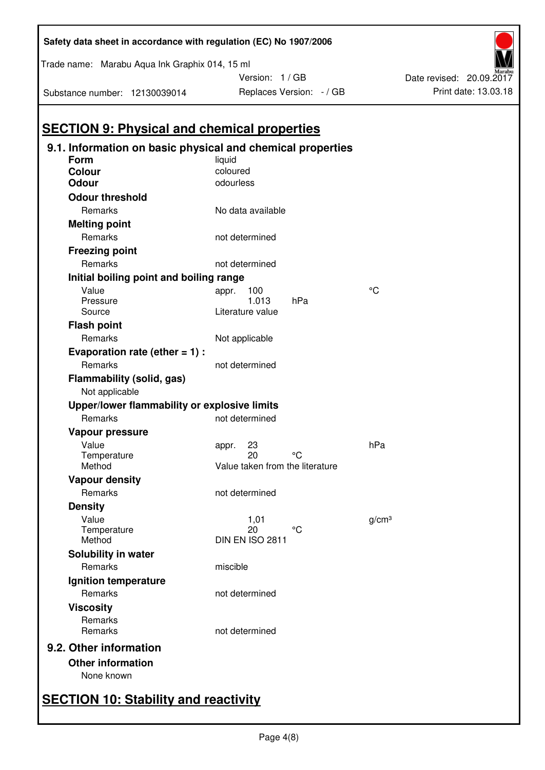| Form<br><b>Colour</b><br><b>Odour</b><br><b>Odour threshold</b><br>Remarks<br><b>Melting point</b><br>Remarks<br><b>Freezing point</b> | liquid<br>coloured<br>odourless<br>No data available<br>not determined |                   |
|----------------------------------------------------------------------------------------------------------------------------------------|------------------------------------------------------------------------|-------------------|
|                                                                                                                                        |                                                                        |                   |
|                                                                                                                                        |                                                                        |                   |
|                                                                                                                                        |                                                                        |                   |
|                                                                                                                                        |                                                                        |                   |
|                                                                                                                                        |                                                                        |                   |
|                                                                                                                                        |                                                                        |                   |
|                                                                                                                                        |                                                                        |                   |
|                                                                                                                                        |                                                                        |                   |
| Remarks                                                                                                                                | not determined                                                         |                   |
| Initial boiling point and boiling range                                                                                                |                                                                        |                   |
| Value                                                                                                                                  | 100<br>appr.<br>1.013<br>hPa                                           | °C                |
| Pressure<br>Source                                                                                                                     | Literature value                                                       |                   |
| <b>Flash point</b>                                                                                                                     |                                                                        |                   |
| Remarks                                                                                                                                | Not applicable                                                         |                   |
| Evaporation rate (ether $= 1$ ) :                                                                                                      |                                                                        |                   |
| Remarks                                                                                                                                | not determined                                                         |                   |
| <b>Flammability (solid, gas)</b>                                                                                                       |                                                                        |                   |
| Not applicable                                                                                                                         |                                                                        |                   |
| Upper/lower flammability or explosive limits                                                                                           |                                                                        |                   |
| Remarks                                                                                                                                | not determined                                                         |                   |
| Vapour pressure                                                                                                                        |                                                                        |                   |
| Value                                                                                                                                  | 23<br>appr.                                                            | hPa               |
| Temperature                                                                                                                            | 20<br>°C                                                               |                   |
| Method                                                                                                                                 | Value taken from the literature                                        |                   |
| <b>Vapour density</b>                                                                                                                  |                                                                        |                   |
| Remarks                                                                                                                                | not determined                                                         |                   |
| <b>Density</b>                                                                                                                         |                                                                        |                   |
| Value                                                                                                                                  | 1,01<br>°C                                                             | g/cm <sup>3</sup> |
| Temperature<br>Method                                                                                                                  | 20<br>DIN EN ISO 2811                                                  |                   |
| Solubility in water                                                                                                                    |                                                                        |                   |
| Remarks                                                                                                                                | miscible                                                               |                   |
|                                                                                                                                        |                                                                        |                   |
| Ignition temperature<br>Remarks                                                                                                        | not determined                                                         |                   |
|                                                                                                                                        |                                                                        |                   |
| <b>Viscosity</b><br>Remarks                                                                                                            |                                                                        |                   |
| Remarks                                                                                                                                | not determined                                                         |                   |
| 9.2. Other information                                                                                                                 |                                                                        |                   |

Trade name: Marabu Aqua Ink Graphix 014, 15 ml

Substance number: 12130039014

Version: 1 / GB



# **SECTION 10: Stability and reactivity**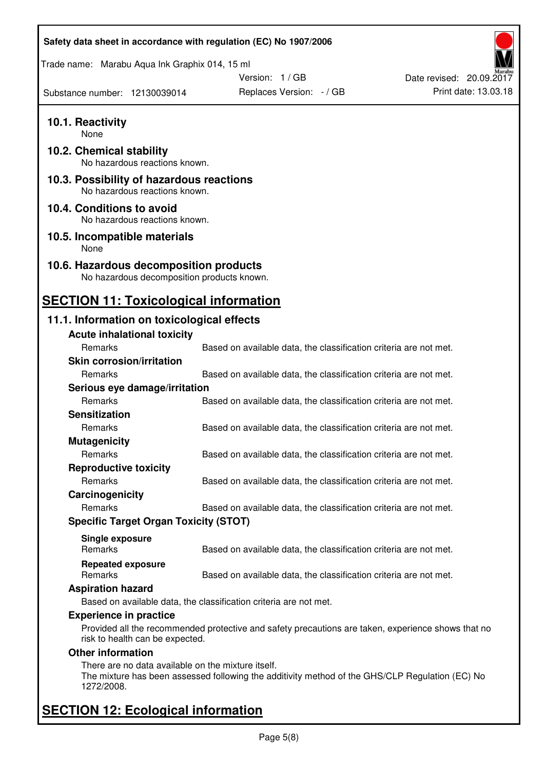| Safety data sheet in accordance with regulation (EC) No 1907/2006                    |                                                                                                    |                          |
|--------------------------------------------------------------------------------------|----------------------------------------------------------------------------------------------------|--------------------------|
| Trade name: Marabu Aqua Ink Graphix 014, 15 ml                                       |                                                                                                    |                          |
|                                                                                      | Version: 1 / GB                                                                                    | Date revised: 20.09.2017 |
| Substance number: 12130039014                                                        | Replaces Version: - / GB                                                                           | Print date: 13.03.18     |
| 10.1. Reactivity<br>None                                                             |                                                                                                    |                          |
| 10.2. Chemical stability<br>No hazardous reactions known.                            |                                                                                                    |                          |
| 10.3. Possibility of hazardous reactions<br>No hazardous reactions known.            |                                                                                                    |                          |
| 10.4. Conditions to avoid<br>No hazardous reactions known.                           |                                                                                                    |                          |
| 10.5. Incompatible materials<br>None                                                 |                                                                                                    |                          |
| 10.6. Hazardous decomposition products<br>No hazardous decomposition products known. |                                                                                                    |                          |
| <b>SECTION 11: Toxicological information</b>                                         |                                                                                                    |                          |
| 11.1. Information on toxicological effects                                           |                                                                                                    |                          |
| <b>Acute inhalational toxicity</b>                                                   |                                                                                                    |                          |
| Remarks                                                                              | Based on available data, the classification criteria are not met.                                  |                          |
| <b>Skin corrosion/irritation</b>                                                     |                                                                                                    |                          |
| Remarks                                                                              | Based on available data, the classification criteria are not met.                                  |                          |
| Serious eye damage/irritation                                                        |                                                                                                    |                          |
| Remarks                                                                              | Based on available data, the classification criteria are not met.                                  |                          |
| <b>Sensitization</b>                                                                 |                                                                                                    |                          |
| Remarks                                                                              | Based on available data, the classification criteria are not met.                                  |                          |
| <b>Mutagenicity</b>                                                                  |                                                                                                    |                          |
| Remarks                                                                              | Based on available data, the classification criteria are not met.                                  |                          |
| <b>Reproductive toxicity</b>                                                         |                                                                                                    |                          |
| Remarks                                                                              | Based on available data, the classification criteria are not met.                                  |                          |
| Carcinogenicity                                                                      |                                                                                                    |                          |
| Remarks                                                                              | Based on available data, the classification criteria are not met.                                  |                          |
| <b>Specific Target Organ Toxicity (STOT)</b>                                         |                                                                                                    |                          |
|                                                                                      |                                                                                                    |                          |
| Single exposure<br><b>Remarks</b>                                                    | Based on available data, the classification criteria are not met.                                  |                          |
| <b>Repeated exposure</b>                                                             |                                                                                                    |                          |
| Remarks                                                                              | Based on available data, the classification criteria are not met.                                  |                          |
| <b>Aspiration hazard</b>                                                             |                                                                                                    |                          |
|                                                                                      | Based on available data, the classification criteria are not met.                                  |                          |
| <b>Experience in practice</b>                                                        |                                                                                                    |                          |
| risk to health can be expected.                                                      | Provided all the recommended protective and safety precautions are taken, experience shows that no |                          |
| <b>Other information</b>                                                             |                                                                                                    |                          |
| There are no data available on the mixture itself.<br>1272/2008.                     | The mixture has been assessed following the additivity method of the GHS/CLP Regulation (EC) No    |                          |
| <b>SECTION 12: Ecological information</b>                                            |                                                                                                    |                          |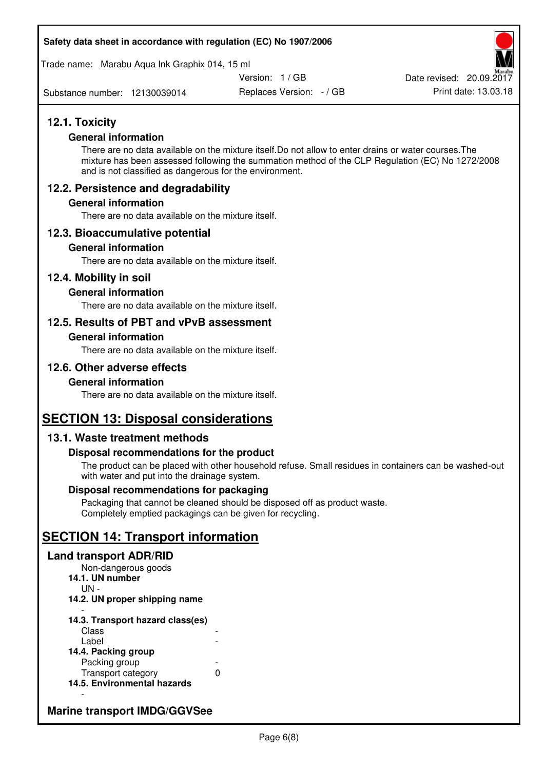Trade name: Marabu Aqua Ink Graphix 014, 15 ml

Version: 1 / GB

Substance number: 12130039014

Replaces Version: - / GB Print date: 13.03.18 Date revised: 20.09.2017

#### **12.1. Toxicity**

#### **General information**

There are no data available on the mixture itself.Do not allow to enter drains or water courses.The mixture has been assessed following the summation method of the CLP Regulation (EC) No 1272/2008 and is not classified as dangerous for the environment.

#### **12.2. Persistence and degradability**

#### **General information**

There are no data available on the mixture itself.

#### **12.3. Bioaccumulative potential**

#### **General information**

There are no data available on the mixture itself.

#### **12.4. Mobility in soil**

#### **General information**

There are no data available on the mixture itself.

#### **12.5. Results of PBT and vPvB assessment**

#### **General information**

There are no data available on the mixture itself.

#### **12.6. Other adverse effects**

#### **General information**

There are no data available on the mixture itself.

### **SECTION 13: Disposal considerations**

#### **13.1. Waste treatment methods**

#### **Disposal recommendations for the product**

The product can be placed with other household refuse. Small residues in containers can be washed-out with water and put into the drainage system.

#### **Disposal recommendations for packaging**

Packaging that cannot be cleaned should be disposed off as product waste. Completely emptied packagings can be given for recycling.

## **SECTION 14: Transport information**

#### **Land transport ADR/RID**

Non-dangerous goods **14.1. UN number**  UN - **14.2. UN proper shipping name**  -

#### **14.3. Transport hazard class(es) Class** Label

| 14.4. Packing group         |   |
|-----------------------------|---|
| Packing group               |   |
| Transport category          | O |
| 14.5. Environmental hazards |   |

#### **Marine transport IMDG/GGVSee**

-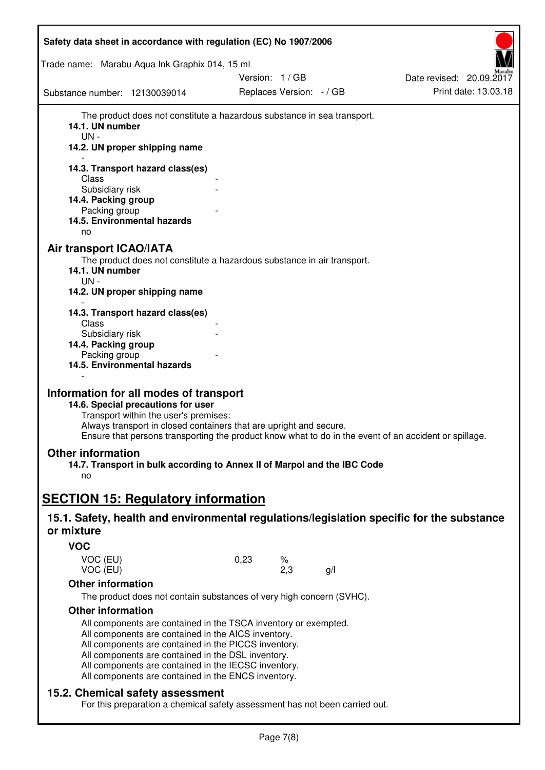| Safety data sheet in accordance with regulation (EC) No 1907/2006                                                                                                                                                                                                                                                                                   |               |                          |     |                          |
|-----------------------------------------------------------------------------------------------------------------------------------------------------------------------------------------------------------------------------------------------------------------------------------------------------------------------------------------------------|---------------|--------------------------|-----|--------------------------|
| Trade name: Marabu Aqua Ink Graphix 014, 15 ml                                                                                                                                                                                                                                                                                                      |               |                          |     |                          |
|                                                                                                                                                                                                                                                                                                                                                     | Version: 1/GB |                          |     | Date revised: 20.09.2017 |
| Substance number: 12130039014                                                                                                                                                                                                                                                                                                                       |               | Replaces Version: - / GB |     | Print date: 13.03.18     |
| The product does not constitute a hazardous substance in sea transport.<br>14.1. UN number<br>UN-<br>14.2. UN proper shipping name                                                                                                                                                                                                                  |               |                          |     |                          |
| 14.3. Transport hazard class(es)                                                                                                                                                                                                                                                                                                                    |               |                          |     |                          |
| Class<br>Subsidiary risk                                                                                                                                                                                                                                                                                                                            |               |                          |     |                          |
| 14.4. Packing group                                                                                                                                                                                                                                                                                                                                 |               |                          |     |                          |
| Packing group                                                                                                                                                                                                                                                                                                                                       |               |                          |     |                          |
| 14.5. Environmental hazards<br>no                                                                                                                                                                                                                                                                                                                   |               |                          |     |                          |
|                                                                                                                                                                                                                                                                                                                                                     |               |                          |     |                          |
| <b>Air transport ICAO/IATA</b><br>The product does not constitute a hazardous substance in air transport.                                                                                                                                                                                                                                           |               |                          |     |                          |
| 14.1. UN number                                                                                                                                                                                                                                                                                                                                     |               |                          |     |                          |
| UN-<br>14.2. UN proper shipping name                                                                                                                                                                                                                                                                                                                |               |                          |     |                          |
|                                                                                                                                                                                                                                                                                                                                                     |               |                          |     |                          |
| 14.3. Transport hazard class(es)                                                                                                                                                                                                                                                                                                                    |               |                          |     |                          |
| Class<br>Subsidiary risk                                                                                                                                                                                                                                                                                                                            |               |                          |     |                          |
| 14.4. Packing group                                                                                                                                                                                                                                                                                                                                 |               |                          |     |                          |
| Packing group                                                                                                                                                                                                                                                                                                                                       |               |                          |     |                          |
| 14.5. Environmental hazards                                                                                                                                                                                                                                                                                                                         |               |                          |     |                          |
| Information for all modes of transport<br>14.6. Special precautions for user<br>Transport within the user's premises:<br>Always transport in closed containers that are upright and secure.<br>Ensure that persons transporting the product know what to do in the event of an accident or spillage.                                                |               |                          |     |                          |
| <b>Other information</b>                                                                                                                                                                                                                                                                                                                            |               |                          |     |                          |
| 14.7. Transport in bulk according to Annex II of Marpol and the IBC Code                                                                                                                                                                                                                                                                            |               |                          |     |                          |
| no                                                                                                                                                                                                                                                                                                                                                  |               |                          |     |                          |
|                                                                                                                                                                                                                                                                                                                                                     |               |                          |     |                          |
| <b>SECTION 15: Regulatory information</b>                                                                                                                                                                                                                                                                                                           |               |                          |     |                          |
| 15.1. Safety, health and environmental regulations/legislation specific for the substance<br>or mixture                                                                                                                                                                                                                                             |               |                          |     |                          |
| <b>VOC</b>                                                                                                                                                                                                                                                                                                                                          |               |                          |     |                          |
| VOC (EU)<br>VOC (EU)                                                                                                                                                                                                                                                                                                                                | 0,23          | ℅<br>2,3                 | g/l |                          |
| <b>Other information</b>                                                                                                                                                                                                                                                                                                                            |               |                          |     |                          |
| The product does not contain substances of very high concern (SVHC).                                                                                                                                                                                                                                                                                |               |                          |     |                          |
| <b>Other information</b>                                                                                                                                                                                                                                                                                                                            |               |                          |     |                          |
| All components are contained in the TSCA inventory or exempted.<br>All components are contained in the AICS inventory.<br>All components are contained in the PICCS inventory.<br>All components are contained in the DSL inventory.<br>All components are contained in the IECSC inventory.<br>All components are contained in the ENCS inventory. |               |                          |     |                          |
| 15.2. Chemical safety assessment<br>For this preparation a chemical safety assessment has not been carried out.                                                                                                                                                                                                                                     |               |                          |     |                          |